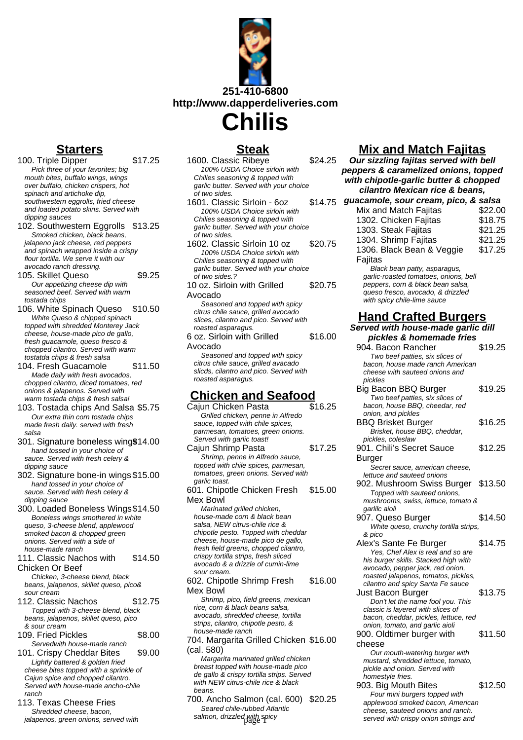

**Chilis**

# **Starters**

- 100. Triple Dipper \$17.25 Pick three of your favorites; big mouth bites, buffalo wings, wings over buffalo, chicken crispers, hot spinach and artichoke dip. southwestern eggrolls, fried cheese and loaded potato skins. Served with dipping sauces
- 102. Southwestern Eggrolls \$13.25 Smoked chicken, black beans, jalapeno jack cheese, red peppers and spinach wrapped inside a crispy flour tortilla. We serve it with our avocado ranch dressing.
- 105. Skillet Queso  $$9.25$ Our appetizing cheese dip with seasoned beef. Served with warm tostada chips
- 106. White Spinach Queso \$10.50 White Queso & chipped spinach topped with shredded Monterey Jack cheese, house-made pico de gallo, fresh guacamole, queso fresco & chopped cilantro. Served with warm tostatda chips & fresh salsa
- 104. Fresh Guacamole \$11.50 Made daily with fresh avocados, chopped cilantro, diced tomatoes, red onions & jalapenos. Served with warm tostada chips & fresh salsa!
- 103. Tostada chips And Salsa \$5.75 Our extra thin corn tostada chips made fresh daily. served with fresh salsa
- 301. Signature boneless wing\$14.00 hand tossed in your choice of sauce. Served with fresh celery & dipping sauce
- 302. Signature bone-in wings \$15.00 hand tossed in your choice of sauce. Served with fresh celery & dipping sauce
- 300. Loaded Boneless Wings\$14.50 Boneless wings smothered in white queso, 3-cheese blend, applewood smoked bacon & chopped green onions. Served with a side of house-made ranch

111. Classic Nachos with \$14.50

- Chicken Or Beef Chicken, 3-cheese blend, black beans, jalapenos, skillet queso, pico& sour cream
- 112. Classic Nachos \$12.75 Topped with 3-cheese blend, black beans, jalapenos, skillet queso, pico & sour cream
- 109. Fried Pickles \$8.00 Servedwith house-made ranch
- 101. Crispy Cheddar Bites \$9.00 Lightly battered & golden fried cheese bites topped with a sprinkle of Cajun spice and chopped cilantro. Served with house-made ancho-chile ranch
- 113. Texas Cheese Fries Shredded cheese, bacon, jalapenos, green onions, served with

# **Steak**

- 1600. Classic Ribeye \$24.25 100% USDA Choice sirloin with Chilies seasoning & topped with garlic butter. Served with your choice of two sides. 1601. Classic Sirloin - 6oz \$14.75 100% USDA Choice sirloin with Chilies seasoning & topped with garlic butter. Served with your choice of two sides. 1602. Classic Sirloin 10 oz \$20.75 100% USDA Choice sirloin with Chilies seasoning & topped with garlic butter. Served with your choice of two sides.? 10 oz. Sirloin with Grilled Avocado \$20.75 Seasoned and topped with spicy citrus chile sauce, grilled avocado slices, cilantro and pico. Served with roasted asparagus. 6 oz. Sirloin with Grilled Avocado \$16.00 Seasoned and topped with spicy citrus chile sauce, grilled avacado slicds, cilantro and pico. Served with roasted asparagus. **Chicken and Seafood** Cajun Chicken Pasta **\$16.25** Grilled chicken, penne in Alfredo
- sauce, topped with chile spices, parmesan, tomatoes, green onions. Served with garlic toast! Cajun Shrimp Pasta \$17.25
- Shrimp, penne in Alfredo sauce, topped with chile spices, parmesan, tomatoes, green onions. Served with garlic toast. 601. Chipotle Chicken Fresh Mex Bowl \$15.00
	- Marinated grilled chicken, house-made corn & black bean salsa, NEW citrus-chile rice & chipotle pesto. Topped with cheddar cheese, house-made pico de gallo, fresh field greens, chopped cilantro, crispy tortilla strips, fresh sliced avocado & a drizzle of cumin-lime sour cream.

602. Chipotle Shrimp Fresh Mex Bowl \$16.00

Shrimp, pico, field greens, mexican rice, corn & black beans salsa, avocado, shredded cheese, tortilla strips, cilantro, chipotle pesto, & house-made ranch

704. Margarita Grilled Chicken \$16.00 (cal. 580)

Margarita marinated grilled chicken breast topped with house-made pico de gallo & crispy tortilla strips. Served with NEW citrus-chile rice & black beans.

700. Ancho Salmon (cal. 600) \$20.25 Seared chile-rubbed Atlantic salmon, drizzled with spicy

# **Mix and Match Fajitas**

**Our sizzling fajitas served with bell peppers & caramelized onions, topped with chipotle-garlic butter & chopped cilantro Mexican rice & beans,**

| guacamole, sour cream, pico, & salsa  |         |
|---------------------------------------|---------|
| Mix and Match Fajitas                 | \$22.00 |
| 1302. Chicken Fajitas                 | \$18.75 |
| 1303. Steak Fajitas                   | \$21.25 |
| 1304. Shrimp Fajitas                  | \$21.25 |
| 1306. Black Bean & Veggie             | \$17.25 |
| Fajitas                               |         |
| Black bean patty, asparagus,          |         |
| garlic-roasted tomatoes, onions, bell |         |
| peppers, corn & black bean salsa,     |         |
| queso fresco, avocado, & drizzled     |         |
| with spicy chile-lime sauce           |         |

# **Hand Crafted Burgers**

**Served with house-made garlic dill pickles & homemade fries** 904. Bacon Rancher \$19.25 Two beef patties, six slices of bacon, house made ranch American cheese with sauteed onions and pickles Big Bacon BBQ Burger \$19.25 Two beef patties, six slices of bacon, house BBQ, cheedar, red onion, and pickles BBQ Brisket Burger \$16.25 Brisket, house BBQ, cheddar, pickles, coleslaw 901. Chili's Secret Sauce Burger \$12.25 Secret sauce, american cheese, lettuce and sauteed onions 902. Mushroom Swiss Burger \$13.50 Topped with sauteed onions, mushrooms, swiss, lettuce, tomato & garlilc aioli 907. Queso Burger \$14.50 White queso, crunchy tortilla strips, & pico Alex's Sante Fe Burger \$14.75 Yes, Chef Alex is real and so are his burger skills. Stacked high with avocado, pepper jack, red onion, roasted jalapenos, tomatos, pickles, cilantro and spicy Santa Fe sauce Just Bacon Burger \$13.75 Don't let the name fool you. This classic is layered with slices of bacon, cheddar, pickles, lettuce, red onion, tomato, and garlic aioli 900. Oldtimer burger with cheese \$11.50 Our mouth-watering burger with mustard, shredded lettuce, tomato, pickle and onion. Served with homestyle fries. 903. Big Mouth Bites \$12.50 Four mini burgers topped with applewood smoked bacon, American cheese, sauteed onions and ranch. served with crispy onion strings and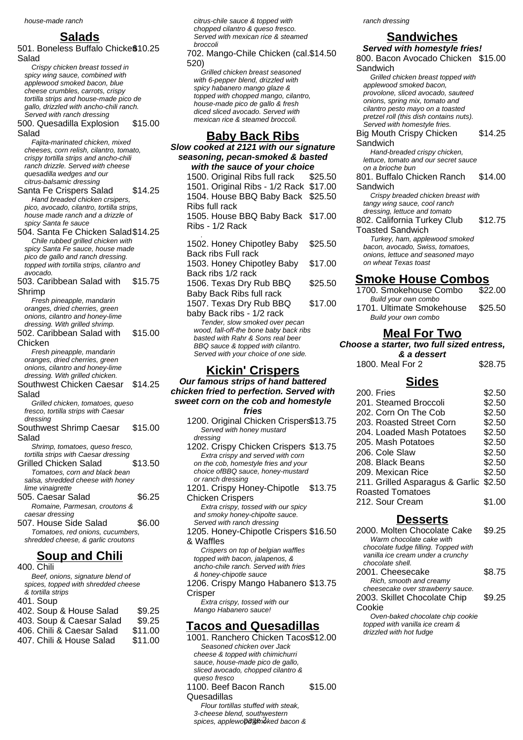## **Salads**

501. Boneless Buffalo Chicke $$10.25$ Salad

- Crispy chicken breast tossed in spicy wing sauce, combined with applewood smoked bacon, blue cheese crumbles, carrots, crispy tortilla strips and house-made pico de gallo, drizzled with ancho-chili ranch. Served with ranch dressing
- 500. Quesadilla Explosion Salad \$15.00

Fajita-marinated chicken, mixed cheeses, corn relish, cilantro, tomato, crispy tortilla strips and ancho-chili ranch drizzle. Served with cheese quesadilla wedges and our citrus-balsamic dressing

- Santa Fe Crispers Salad \$14.25 Hand breaded chicken crsipers, pico, avocado, cilantro, tortilla strips, house made ranch and a drizzle of spicy Santa fe sauce
- 504. Santa Fe Chicken Salad\$14.25 Chile rubbed grilled chicken with spicy Santa Fe sauce, house made pico de gallo and ranch dressing. topped with tortilla strips, cilantro and avocado.
- 503. Caribbean Salad with Shrimp \$15.75

Fresh pineapple, mandarin oranges, dried cherries, green onions, cilantro and honey-lime dressing. With grilled shrimp.

502. Caribbean Salad with Chicken \$15.00

Fresh pineapple, mandarin oranges, dried cherries, green onions, cilantro and honey-lime dressing. With grilled chicken.

Southwest Chicken Caesar Salad \$14.25

Grilled chicken, tomatoes, queso fresco, tortilla strips with Caesar dressing

Southwest Shrimp Caesar Salad \$15.00

Shrimp, tomatoes, queso fresco, tortilla strips with Caesar dressing

- Grilled Chicken Salad \$13.50 Tomatoes, corn and black bean salsa, shredded cheese with honey lime vinaigrette
- 505. Caesar Salad \$6.25 Romaine, Parmesan, croutons & caesar dressing
- 507. House Side Salad \$6.00 Tomatoes, red onions, cucumbers, shredded cheese, & garlic croutons

## **Soup and Chili**

400. Chili Beef, onions, signature blend of spices, topped with shredded cheese & tortilla strips 401. Soup 402. Soup & House Salad \$9.25<br>403. Soup & Caesar Salad \$9.25 403. Soup & Caesar Salad \$9.25<br>406. Chili & Caesar Salad \$11.00 406. Chili & Caesar Salad \$11.00<br>407. Chili & House Salad \$11.00 407. Chili & House Salad

citrus-chile sauce & topped with chopped cilantro & queso fresco. Served with mexican rice & steamed broccoli

702. Mango-Chile Chicken (cal. \$14.50 520)

Grilled chicken breast seasoned with 6-pepper blend, drizzled with spicy habanero mango glaze & topped with chopped mango, cilantro, house-made pico de gallo & fresh diced sliced avocado. Served with mexican rice & steamed broccoli.

### **Baby Back Ribs**

**Slow cooked at 2121 with our signature seasoning, pecan-smoked & basted with the sauce of your choice**

1500. Original Ribs full rack \$25.50 1501. Original Ribs - 1/2 Rack \$17.00 1504. House BBQ Baby Back \$25.50 Ribs full rack 1505. House BBQ Baby Back \$17.00 Ribs - 1/2 Rack . 1502. Honey Chipotley Baby Back ribs Full rack \$25.50 1503. Honey Chipotley Baby Back ribs 1/2 rack \$17.00 1506. Texas Dry Rub BBQ Baby Back Ribs full rack \$25.50

1507. Texas Dry Rub BBQ baby Back ribs - 1/2 rack \$17.00 Tender, slow smoked over pecan wood, fall-off-the bone baby back ribs basted with Rahr & Sons real beer BBQ sauce & topped with cilantro. Served with your choice of one side.

### **Kickin' Crispers**

#### **Our famous strips of hand battered chicken fried to perfection. Served with sweet corn on the cob and homestyle fries**

1200. Original Chicken Crispers\$13.75 Served with honey mustard dressing

1202. Crispy Chicken Crispers \$13.75 Extra crispy and served with corn on the cob, homestyle fries and your choice ofBBQ sauce, honey-mustard or ranch dressing

1201. Crispy Honey-Chipotle \$13.75 Chicken Crispers Extra crispy, tossed with our spicy

and smoky honey-chipolte sauce. Served with ranch dressing

1205. Honey-Chipotle Crispers \$16.50 & Waffles

Crispers on top of belgian waffles topped with bacon, jalapenos, & ancho-chile ranch. Served with fries & honey-chipotle sauce 1206. Crispy Mango Habanero \$13.75

**Crisper** Extra crispy, tossed with our Mango Habanero sauce!

### **Tacos and Quesadillas**

spices, applewopdsmoked bacon &

1001. Ranchero Chicken Tacos\$12.00 Seasoned chicken over Jack cheese & topped with chimichurri sauce, house-made pico de gallo, sliced avocado, chopped cilantro & queso fresco 1100. Beef Bacon Ranch Quesadillas \$15.00 Flour tortillas stuffed with steak, 3-cheese blend, southwestern

ranch dressing

## **Sandwiches**

**Served with homestyle fries!** 800. Bacon Avocado Chicken \$15.00 Sandwich Grilled chicken breast topped with applewood smoked bacon, provolone, sliced avocado, sauteed onions, spring mix, tomato and cilantro pesto mayo on a toasted pretzel roll (this dish contains nuts). Served with homestyle fries. Big Mouth Crispy Chicken Sandwich \$14.25 Hand-breaded crispy chicken, lettuce, tomato and our secret sauce on a brioche bun 801. Buffalo Chicken Ranch Sandwich \$14.00 Crispy breaded chicken breast with tangy wing sauce, cool ranch dressing, lettuce and tomato 802. California Turkey Club Toasted Sandwich \$12.75 Turkey, ham, applewood smoked bacon, avocado, Swiss, tomatoes, onions, lettuce and seasoned mayo on wheat Texas toast **Smoke House Combos**

1700. Smokehouse Combo \$22.00 Build your own combo 1701. Ultimate Smokehouse \$25.50 Build your own combo

## **Meal For Two**

**Choose a starter, two full sized entress,**

**& a dessert** 1800. Me

| al For 2 | \$28.75 |
|----------|---------|
|          |         |

### **Sides**

| 200. Fries                             | \$2.50 |
|----------------------------------------|--------|
| 201. Steamed Broccoli                  | \$2.50 |
| 202. Corn On The Cob                   | \$2.50 |
| 203. Roasted Street Corn               | \$2.50 |
| 204. Loaded Mash Potatoes              | \$2.50 |
| 205. Mash Potatoes                     | \$2.50 |
| 206. Cole Slaw                         | \$2.50 |
| 208. Black Beans                       | \$2.50 |
| 209. Mexican Rice                      | \$2.50 |
| 211. Grilled Asparagus & Garlic \$2.50 |        |
| <b>Roasted Tomatoes</b>                |        |
| 212. Sour Cream                        | \$1.00 |

## **Desserts**

| 2000. Molten Chocolate Cake          | \$9.25 |
|--------------------------------------|--------|
| Warm chocolate cake with             |        |
| chocolate fudge filling. Topped with |        |
| vanilla ice cream under a crunchy    |        |
| chocolate shell.                     |        |
| 2001. Cheesecake                     | \$8.75 |
| Rich, smooth and creamy              |        |
| cheesecake over strawberry sauce.    |        |
| 2003. Skillet Chocolate Chip         | \$9.25 |
| Cookie                               |        |
| Oven-baked chocolate chip cookie     |        |
|                                      |        |

topped with vanilla ice cream & drizzled with hot fudge